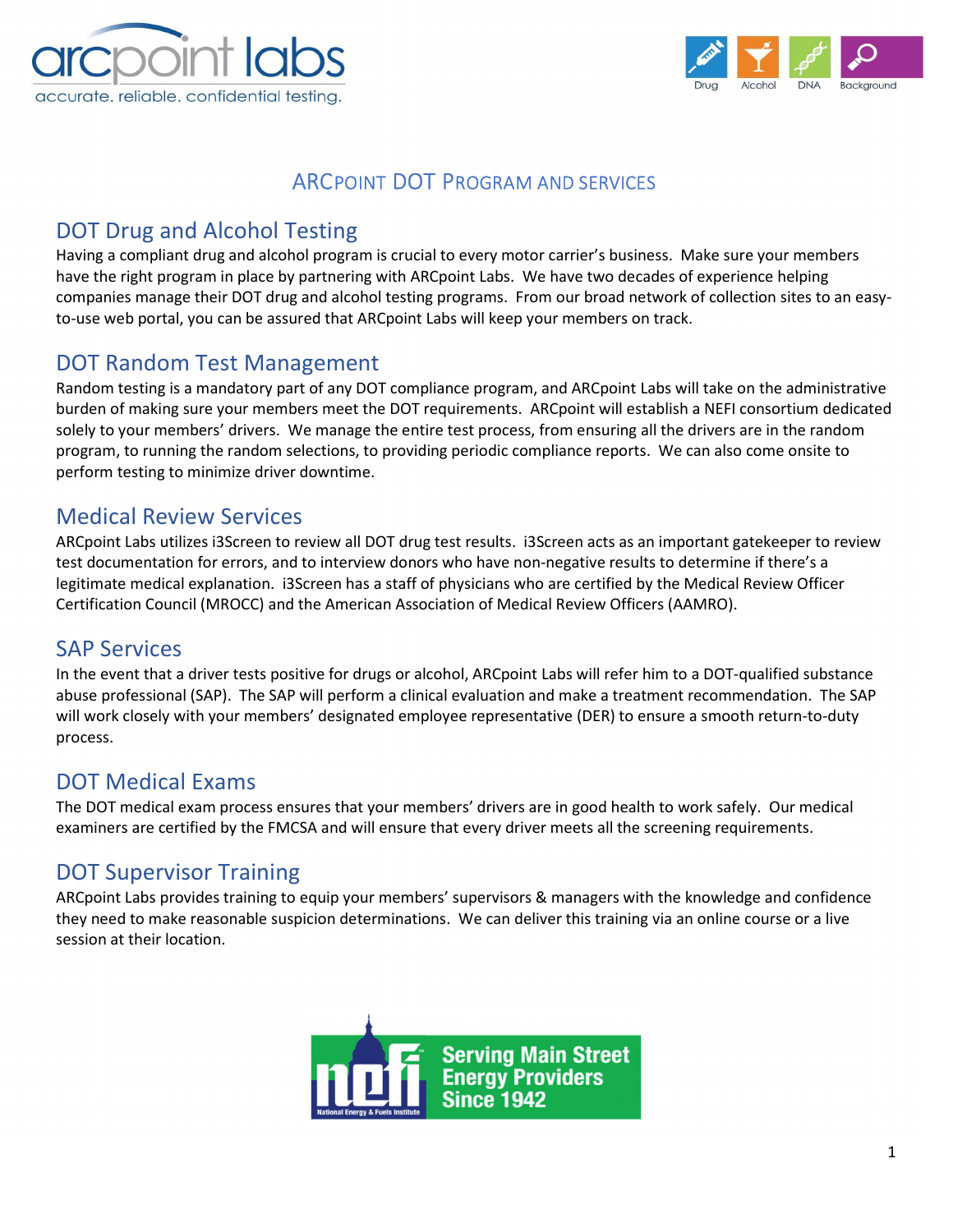



### ARCPOINT DOT PROGRAM AND SERVICES

# DOT Drug and Alcohol Testing

Having a compliant drug and alcohol program is crucial to every motor carrier's business. Make sure your members have the right program in place by partnering with ARCpoint Labs. We have two decades of experience helping companies manage their DOT drug and alcohol testing programs. From our broad network of collection sites to an easyto-use web portal, you can be assured that ARCpoint Labs will keep your members on track.

#### DOT Random Test Management

Random testing is a mandatory part of any DOT compliance program, and ARCpoint Labs will take on the administrative burden of making sure your members meet the DOT requirements. ARCpoint will establish a NEFI consortium dedicated solely to your members' drivers. We manage the entire test process, from ensuring all the drivers are in the random program, to running the random selections, to providing periodic compliance reports. We can also come onsite to perform testing to minimize driver downtime.

#### Medical Review Services

ARCpoint Labs utilizes i3Screen to review all DOT drug test results. i3Screen acts as an important gatekeeper to review test documentation for errors, and to interview donors who have non-negative results to determine if there's a legitimate medical explanation. i3Screen has a staff of physicians who are certified by the Medical Review Officer Certification Council (MROCC) and the American Association of Medical Review Officers (AAMRO).

### SAP Services

In the event that a driver tests positive for drugs or alcohol, ARCpoint Labs will refer him to a DOT-qualified substance abuse professional (SAP). The SAP will perform a clinical evaluation and make a treatment recommendation. The SAP will work closely with your members' designated employee representative (DER) to ensure a smooth return-to-duty process.

### DOT Medical Exams

The DOT medical exam process ensures that your members' drivers are in good health to work safely. Our medical examiners are certified by the FMCSA and will ensure that every driver meets all the screening requirements.

### DOT Supervisor Training

ARCpoint Labs provides training to equip your members' supervisors & managers with the knowledge and confidence they need to make reasonable suspicion determinations. We can deliver this training via an online course or a live session at their location.